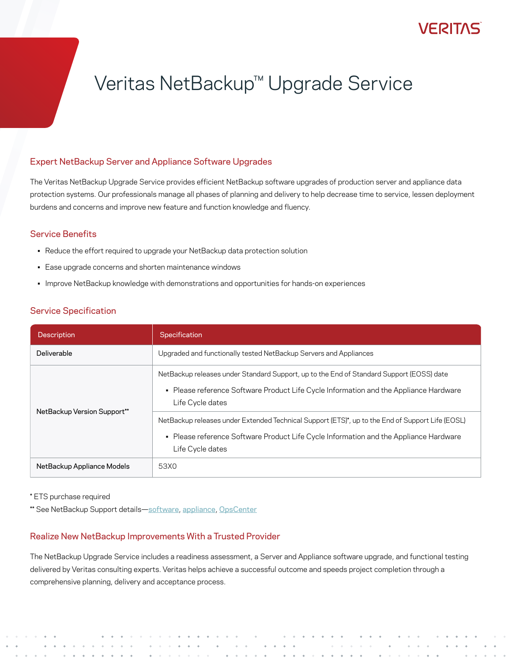# Veritas NetBackup™ Upgrade Service

#### Expert NetBackup Server and Appliance Software Upgrades

The Veritas NetBackup Upgrade Service provides efficient NetBackup software upgrades of production server and appliance data protection systems. Our professionals manage all phases of planning and delivery to help decrease time to service, lessen deployment burdens and concerns and improve new feature and function knowledge and fluency.

#### Service Benefits

- Reduce the effort required to upgrade your NetBackup data protection solution
- Ease upgrade concerns and shorten maintenance windows
- Improve NetBackup knowledge with demonstrations and opportunities for hands-on experiences

### Service Specification

| <b>Description</b>          | Specification                                                                                                                                                                                                 |  |  |
|-----------------------------|---------------------------------------------------------------------------------------------------------------------------------------------------------------------------------------------------------------|--|--|
| Deliverable                 | Upgraded and functionally tested NetBackup Servers and Appliances                                                                                                                                             |  |  |
| NetBackup Version Support** | NetBackup releases under Standard Support, up to the End of Standard Support (EOSS) date<br>• Please reference Software Product Life Cycle Information and the Appliance Hardware<br>Life Cycle dates         |  |  |
|                             | NetBackup releases under Extended Technical Support (ETS)*, up to the End of Support Life (EOSL)<br>• Please reference Software Product Life Cycle Information and the Appliance Hardware<br>Life Cycle dates |  |  |
| NetBackup Appliance Models  | 53X0                                                                                                                                                                                                          |  |  |

\* ETS purchase required

\*\* See NetBackup Support details-[software](https://www.veritas.com/content/support/en_US/article.100038907.html), [appliance](https://www.veritas.com/content/support/en_US/article.100038921.html), [OpsCenter](https://sort.veritas.com/eosl?prod=NetBackup%20Enterprise%20Server)

### Realize New NetBackup Improvements With a Trusted Provider

The NetBackup Upgrade Service includes a readiness assessment, a Server and Appliance software upgrade, and functional testing delivered by Veritas consulting experts. Veritas helps achieve a successful outcome and speeds project completion through a comprehensive planning, delivery and acceptance process.